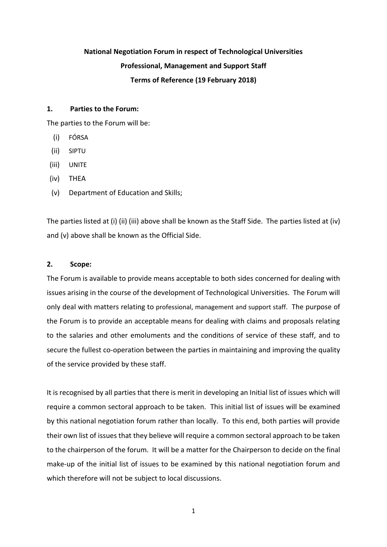# **National Negotiation Forum in respect of Technological Universities Professional, Management and Support Staff Terms of Reference (19 February 2018)**

## **1. Parties to the Forum:**

The parties to the Forum will be:

- (i) FÓRSA
- (ii) SIPTU
- (iii) UNITE
- (iv) THEA
- (v) Department of Education and Skills;

The parties listed at (i) (ii) (iii) above shall be known as the Staff Side. The parties listed at (iv) and (v) above shall be known as the Official Side.

# **2. Scope:**

The Forum is available to provide means acceptable to both sides concerned for dealing with issues arising in the course of the development of Technological Universities. The Forum will only deal with matters relating to professional, management and support staff. The purpose of the Forum is to provide an acceptable means for dealing with claims and proposals relating to the salaries and other emoluments and the conditions of service of these staff, and to secure the fullest co-operation between the parties in maintaining and improving the quality of the service provided by these staff.

It is recognised by all parties that there is merit in developing an Initial list of issues which will require a common sectoral approach to be taken. This initial list of issues will be examined by this national negotiation forum rather than locally. To this end, both parties will provide their own list of issues that they believe will require a common sectoral approach to be taken to the chairperson of the forum. It will be a matter for the Chairperson to decide on the final make-up of the initial list of issues to be examined by this national negotiation forum and which therefore will not be subject to local discussions.

1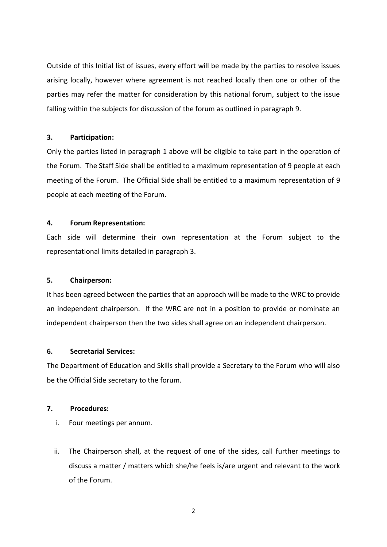Outside of this Initial list of issues, every effort will be made by the parties to resolve issues arising locally, however where agreement is not reached locally then one or other of the parties may refer the matter for consideration by this national forum, subject to the issue falling within the subjects for discussion of the forum as outlined in paragraph 9.

# **3. Participation:**

Only the parties listed in paragraph 1 above will be eligible to take part in the operation of the Forum. The Staff Side shall be entitled to a maximum representation of 9 people at each meeting of the Forum. The Official Side shall be entitled to a maximum representation of 9 people at each meeting of the Forum.

# **4. Forum Representation:**

Each side will determine their own representation at the Forum subject to the representational limits detailed in paragraph 3.

# **5. Chairperson:**

It has been agreed between the parties that an approach will be made to the WRC to provide an independent chairperson. If the WRC are not in a position to provide or nominate an independent chairperson then the two sides shall agree on an independent chairperson.

# **6. Secretarial Services:**

The Department of Education and Skills shall provide a Secretary to the Forum who will also be the Official Side secretary to the forum.

## **7. Procedures:**

- i. Four meetings per annum.
- ii. The Chairperson shall, at the request of one of the sides, call further meetings to discuss a matter / matters which she/he feels is/are urgent and relevant to the work of the Forum.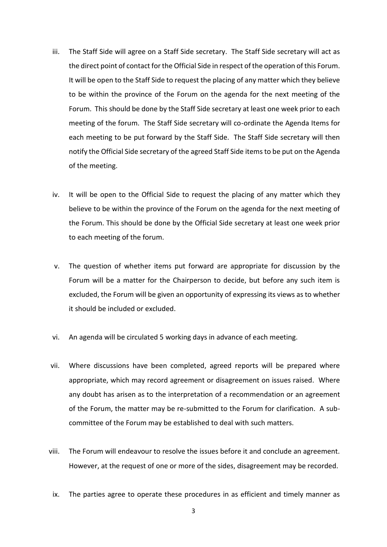- iii. The Staff Side will agree on a Staff Side secretary. The Staff Side secretary will act as the direct point of contact for the Official Side in respect of the operation of this Forum. It will be open to the Staff Side to request the placing of any matter which they believe to be within the province of the Forum on the agenda for the next meeting of the Forum. This should be done by the Staff Side secretary at least one week prior to each meeting of the forum. The Staff Side secretary will co-ordinate the Agenda Items for each meeting to be put forward by the Staff Side. The Staff Side secretary will then notify the Official Side secretary of the agreed Staff Side items to be put on the Agenda of the meeting.
- iv. It will be open to the Official Side to request the placing of any matter which they believe to be within the province of the Forum on the agenda for the next meeting of the Forum. This should be done by the Official Side secretary at least one week prior to each meeting of the forum.
- v. The question of whether items put forward are appropriate for discussion by the Forum will be a matter for the Chairperson to decide, but before any such item is excluded, the Forum will be given an opportunity of expressing its views as to whether it should be included or excluded.
- vi. An agenda will be circulated 5 working days in advance of each meeting.
- vii. Where discussions have been completed, agreed reports will be prepared where appropriate, which may record agreement or disagreement on issues raised. Where any doubt has arisen as to the interpretation of a recommendation or an agreement of the Forum, the matter may be re-submitted to the Forum for clarification. A subcommittee of the Forum may be established to deal with such matters.
- viii. The Forum will endeavour to resolve the issues before it and conclude an agreement. However, at the request of one or more of the sides, disagreement may be recorded.
- ix. The parties agree to operate these procedures in as efficient and timely manner as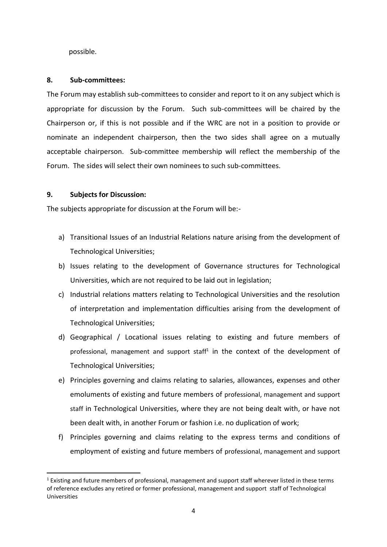possible.

## **8. Sub-committees:**

The Forum may establish sub-committees to consider and report to it on any subject which is appropriate for discussion by the Forum. Such sub-committees will be chaired by the Chairperson or, if this is not possible and if the WRC are not in a position to provide or nominate an independent chairperson, then the two sides shall agree on a mutually acceptable chairperson. Sub-committee membership will reflect the membership of the Forum. The sides will select their own nominees to such sub-committees.

## **9. Subjects for Discussion:**

The subjects appropriate for discussion at the Forum will be:-

- a) Transitional Issues of an Industrial Relations nature arising from the development of Technological Universities;
- b) Issues relating to the development of Governance structures for Technological Universities, which are not required to be laid out in legislation;
- c) Industrial relations matters relating to Technological Universities and the resolution of interpretation and implementation difficulties arising from the development of Technological Universities;
- d) Geographical / Locational issues relating to existing and future members of professional, management and support staff<sup>1</sup> in the context of the development of Technological Universities;
- e) Principles governing and claims relating to salaries, allowances, expenses and other emoluments of existing and future members of professional, management and support staff in Technological Universities, where they are not being dealt with, or have not been dealt with, in another Forum or fashion i.e. no duplication of work;
- f) Principles governing and claims relating to the express terms and conditions of employment of existing and future members of professional, management and support

**<sup>.</sup>**  $1$  Existing and future members of professional, management and support staff wherever listed in these terms of reference excludes any retired or former professional, management and support staff of Technological Universities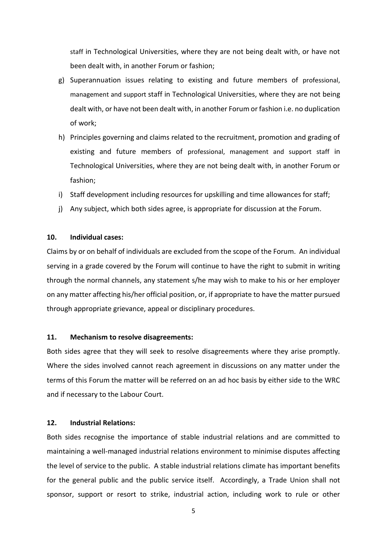staff in Technological Universities, where they are not being dealt with, or have not been dealt with, in another Forum or fashion;

- g) Superannuation issues relating to existing and future members of professional, management and support staff in Technological Universities, where they are not being dealt with, or have not been dealt with, in another Forum or fashion i.e. no duplication of work;
- h) Principles governing and claims related to the recruitment, promotion and grading of existing and future members of professional, management and support staff in Technological Universities, where they are not being dealt with, in another Forum or fashion;
- i) Staff development including resources for upskilling and time allowances for staff;
- j) Any subject, which both sides agree, is appropriate for discussion at the Forum.

#### **10. Individual cases:**

Claims by or on behalf of individuals are excluded from the scope of the Forum. An individual serving in a grade covered by the Forum will continue to have the right to submit in writing through the normal channels, any statement s/he may wish to make to his or her employer on any matter affecting his/her official position, or, if appropriate to have the matter pursued through appropriate grievance, appeal or disciplinary procedures.

#### **11. Mechanism to resolve disagreements:**

Both sides agree that they will seek to resolve disagreements where they arise promptly. Where the sides involved cannot reach agreement in discussions on any matter under the terms of this Forum the matter will be referred on an ad hoc basis by either side to the WRC and if necessary to the Labour Court.

## **12. Industrial Relations:**

Both sides recognise the importance of stable industrial relations and are committed to maintaining a well-managed industrial relations environment to minimise disputes affecting the level of service to the public. A stable industrial relations climate has important benefits for the general public and the public service itself. Accordingly, a Trade Union shall not sponsor, support or resort to strike, industrial action, including work to rule or other